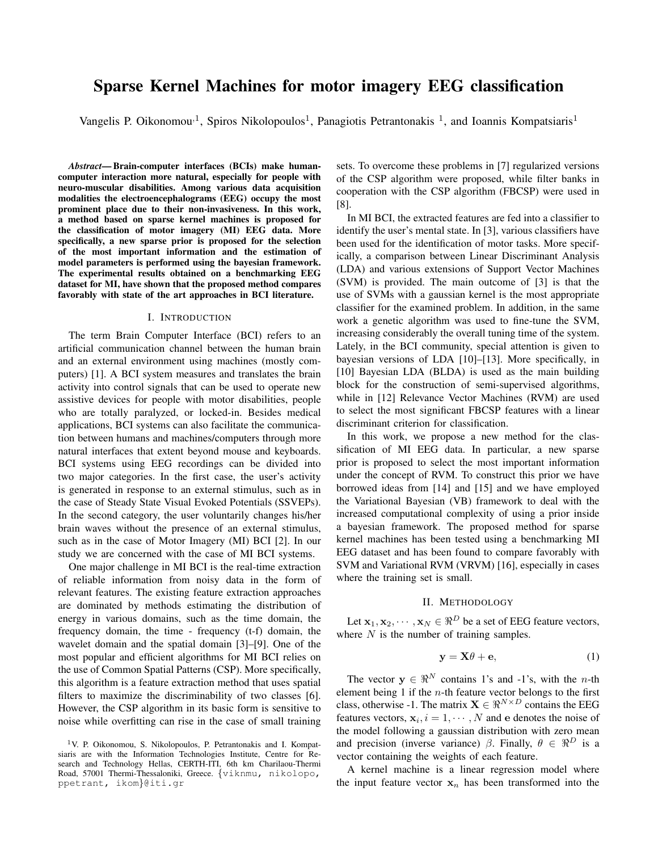# Sparse Kernel Machines for motor imagery EEG classification

Vangelis P. Oikonomou<sup>, 1</sup>, Spiros Nikolopoulos<sup>1</sup>, Panagiotis Petrantonakis<sup>1</sup>, and Ioannis Kompatsiaris<sup>1</sup>

*Abstract*— Brain-computer interfaces (BCIs) make humancomputer interaction more natural, especially for people with neuro-muscular disabilities. Among various data acquisition modalities the electroencephalograms (EEG) occupy the most prominent place due to their non-invasiveness. In this work, a method based on sparse kernel machines is proposed for the classification of motor imagery (MI) EEG data. More specifically, a new sparse prior is proposed for the selection of the most important information and the estimation of model parameters is performed using the bayesian framework. The experimental results obtained on a benchmarking EEG dataset for MI, have shown that the proposed method compares favorably with state of the art approaches in BCI literature.

### I. INTRODUCTION

The term Brain Computer Interface (BCI) refers to an artificial communication channel between the human brain and an external environment using machines (mostly computers) [1]. A BCI system measures and translates the brain activity into control signals that can be used to operate new assistive devices for people with motor disabilities, people who are totally paralyzed, or locked-in. Besides medical applications, BCI systems can also facilitate the communication between humans and machines/computers through more natural interfaces that extent beyond mouse and keyboards. BCI systems using EEG recordings can be divided into two major categories. In the first case, the user's activity is generated in response to an external stimulus, such as in the case of Steady State Visual Evoked Potentials (SSVEPs). In the second category, the user voluntarily changes his/her brain waves without the presence of an external stimulus, such as in the case of Motor Imagery (MI) BCI [2]. In our study we are concerned with the case of MI BCI systems.

One major challenge in MI BCI is the real-time extraction of reliable information from noisy data in the form of relevant features. The existing feature extraction approaches are dominated by methods estimating the distribution of energy in various domains, such as the time domain, the frequency domain, the time - frequency (t-f) domain, the wavelet domain and the spatial domain [3]–[9]. One of the most popular and efficient algorithms for MI BCI relies on the use of Common Spatial Patterns (CSP). More specifically, this algorithm is a feature extraction method that uses spatial filters to maximize the discriminability of two classes [6]. However, the CSP algorithm in its basic form is sensitive to noise while overfitting can rise in the case of small training

sets. To overcome these problems in [7] regularized versions of the CSP algorithm were proposed, while filter banks in cooperation with the CSP algorithm (FBCSP) were used in [8].

In MI BCI, the extracted features are fed into a classifier to identify the user's mental state. In [3], various classifiers have been used for the identification of motor tasks. More specifically, a comparison between Linear Discriminant Analysis (LDA) and various extensions of Support Vector Machines (SVM) is provided. The main outcome of [3] is that the use of SVMs with a gaussian kernel is the most appropriate classifier for the examined problem. In addition, in the same work a genetic algorithm was used to fine-tune the SVM, increasing considerably the overall tuning time of the system. Lately, in the BCI community, special attention is given to bayesian versions of LDA [10]–[13]. More specifically, in [10] Bayesian LDA (BLDA) is used as the main building block for the construction of semi-supervised algorithms, while in [12] Relevance Vector Machines (RVM) are used to select the most significant FBCSP features with a linear discriminant criterion for classification.

In this work, we propose a new method for the classification of MI EEG data. In particular, a new sparse prior is proposed to select the most important information under the concept of RVM. To construct this prior we have borrowed ideas from [14] and [15] and we have employed the Variational Bayesian (VB) framework to deal with the increased computational complexity of using a prior inside a bayesian framework. The proposed method for sparse kernel machines has been tested using a benchmarking MI EEG dataset and has been found to compare favorably with SVM and Variational RVM (VRVM) [16], especially in cases where the training set is small.

## II. METHODOLOGY

Let  $\mathbf{x}_1, \mathbf{x}_2, \dots, \mathbf{x}_N \in \mathbb{R}^D$  be a set of EEG feature vectors, where  $N$  is the number of training samples.

$$
y = X\theta + e,\tag{1}
$$

The vector  $y \in \mathbb{R}^N$  contains 1's and -1's, with the *n*-th element being  $1$  if the  $n$ -th feature vector belongs to the first class, otherwise -1. The matrix  $\mathbf{X} \in \mathbb{R}^{N \times D}$  contains the EEG features vectors,  $x_i$ ,  $i = 1, \dots, N$  and e denotes the noise of the model following a gaussian distribution with zero mean and precision (inverse variance)  $\beta$ . Finally,  $\theta \in \mathbb{R}^D$  is a vector containing the weights of each feature.

A kernel machine is a linear regression model where the input feature vector  $x_n$  has been transformed into the

<sup>&</sup>lt;sup>1</sup>V. P. Oikonomou, S. Nikolopoulos, P. Petrantonakis and I. Kompatsiaris are with the Information Technologies Institute, Centre for Research and Technology Hellas, CERTH-ITI, 6th km Charilaou-Thermi Road, 57001 Thermi-Thessaloniki, Greece. {viknmu, nikolopo, ppetrant, ikom}@iti.gr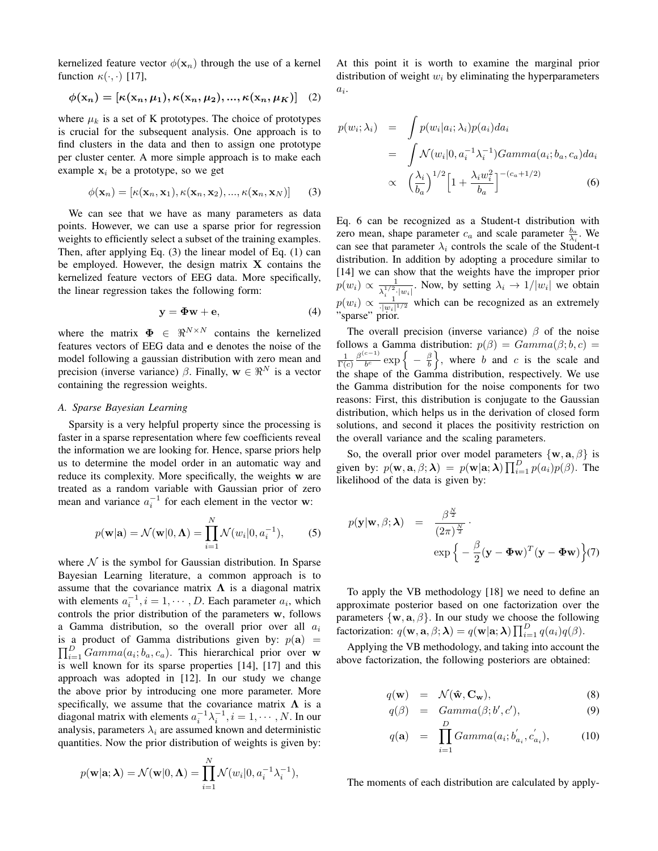kernelized feature vector  $\phi(\mathbf{x}_n)$  through the use of a kernel function  $\kappa(\cdot, \cdot)$  [17],

$$
\phi(\mathbf{x}_n) = [\kappa(\mathbf{x}_n, \mu_1), \kappa(\mathbf{x}_n, \mu_2), ..., \kappa(\mathbf{x}_n, \mu_K)] \quad (2)
$$

where  $\mu_k$  is a set of K prototypes. The choice of prototypes is crucial for the subsequent analysis. One approach is to find clusters in the data and then to assign one prototype per cluster center. A more simple approach is to make each example  $x_i$  be a prototype, so we get

$$
\phi(\mathbf{x}_n) = [\kappa(\mathbf{x}_n, \mathbf{x}_1), \kappa(\mathbf{x}_n, \mathbf{x}_2), ..., \kappa(\mathbf{x}_n, \mathbf{x}_N)] \tag{3}
$$

We can see that we have as many parameters as data points. However, we can use a sparse prior for regression weights to efficiently select a subset of the training examples. Then, after applying Eq. (3) the linear model of Eq. (1) can be employed. However, the design matrix  $X$  contains the kernelized feature vectors of EEG data. More specifically, the linear regression takes the following form:

$$
y = \Phi w + e,\tag{4}
$$

where the matrix  $\mathbf{\Phi} \in \mathbb{R}^{N \times N}$  contains the kernelized features vectors of EEG data and e denotes the noise of the model following a gaussian distribution with zero mean and precision (inverse variance)  $\beta$ . Finally,  $\mathbf{w} \in \mathbb{R}^N$  is a vector containing the regression weights.

### *A. Sparse Bayesian Learning*

Sparsity is a very helpful property since the processing is faster in a sparse representation where few coefficients reveal the information we are looking for. Hence, sparse priors help us to determine the model order in an automatic way and reduce its complexity. More specifically, the weights w are treated as a random variable with Gaussian prior of zero mean and variance  $a_i^{-1}$  for each element in the vector w:

$$
p(\mathbf{w}|\mathbf{a}) = \mathcal{N}(\mathbf{w}|0, \mathbf{\Lambda}) = \prod_{i=1}^{N} \mathcal{N}(w_i|0, a_i^{-1}),
$$
 (5)

where  $N$  is the symbol for Gaussian distribution. In Sparse Bayesian Learning literature, a common approach is to assume that the covariance matrix  $\Lambda$  is a diagonal matrix with elements  $a_i^{-1}$ ,  $i = 1, \dots, D$ . Each parameter  $a_i$ , which controls the prior distribution of the parameters w, follows a Gamma distribution, so the overall prior over all  $a_i$ is a product of Gamma distributions given by:  $p(\mathbf{a}) =$  $\prod_{i=1}^{D} Gamma(a_i; b_a, c_a)$ . This hierarchical prior over w is well known for its sparse properties [14], [17] and this approach was adopted in [12]. In our study we change the above prior by introducing one more parameter. More specifically, we assume that the covariance matrix  $\Lambda$  is a diagonal matrix with elements  $a_i^{-1} \lambda_i^{-1}, i = 1, \dots, N$ . In our analysis, parameters  $\lambda_i$  are assumed known and deterministic quantities. Now the prior distribution of weights is given by:

$$
p(\mathbf{w}|\mathbf{a};\boldsymbol{\lambda}) = \mathcal{N}(\mathbf{w}|0,\boldsymbol{\Lambda}) = \prod_{i=1}^{N} \mathcal{N}(w_i|0, a_i^{-1}\lambda_i^{-1}),
$$

At this point it is worth to examine the marginal prior distribution of weight  $w_i$  by eliminating the hyperparameters  $a_i$ .

$$
p(w_i; \lambda_i) = \int p(w_i | a_i; \lambda_i) p(a_i) da_i
$$
  
= 
$$
\int \mathcal{N}(w_i | 0, a_i^{-1} \lambda_i^{-1}) Gamma(a_i; b_a, c_a) da_i
$$
  

$$
\propto \left(\frac{\lambda_i}{b_a}\right)^{1/2} \left[1 + \frac{\lambda_i w_i^2}{b_a}\right]^{-(c_a + 1/2)}
$$
(6)

Eq. 6 can be recognized as a Student-t distribution with zero mean, shape parameter  $c_a$  and scale parameter  $\frac{b_a}{\lambda_i}$ . We can see that parameter  $\lambda_i$  controls the scale of the Student-t distribution. In addition by adopting a procedure similar to [14] we can show that the weights have the improper prior  $p(w_i) \propto \frac{1}{\sqrt{1/2}}$  $\frac{1}{\lambda_i^{1/2} \cdot |w_i|}$ . Now, by setting  $\lambda_i \to 1/|w_i|$  we obtain  $p(w_i) \propto \frac{1}{|w_i|^{1/2}}$  which can be recognized as an extremely "sparse" prior.

The overall precision (inverse variance)  $\beta$  of the noise follows a Gamma distribution:  $p(\beta) = Gamma(\beta; b, c)$  $\frac{1}{\Gamma(c)} \frac{\beta^{(c-1)}}{b^c}$  $\frac{c-1}{b^c}$  exp  $\left\{-\frac{\beta}{b}\right\}$ , where b and c is the scale and the shape of the Gamma distribution, respectively. We use the Gamma distribution for the noise components for two reasons: First, this distribution is conjugate to the Gaussian distribution, which helps us in the derivation of closed form solutions, and second it places the positivity restriction on the overall variance and the scaling parameters.

So, the overall prior over model parameters  $\{w, a, \beta\}$  is given by:  $p(\mathbf{w}, \mathbf{a}, \beta; \boldsymbol{\lambda}) = p(\mathbf{w}|\mathbf{a}; \boldsymbol{\lambda}) \prod_{i=1}^{D} p(a_i)p(\beta)$ . The likelihood of the data is given by:

$$
p(\mathbf{y}|\mathbf{w}, \beta; \boldsymbol{\lambda}) = \frac{\beta^{\frac{N}{2}}}{(2\pi)^{\frac{N}{2}}} \cdot \exp\left\{-\frac{\beta}{2}(\mathbf{y} - \boldsymbol{\Phi}\mathbf{w})^T(\mathbf{y} - \boldsymbol{\Phi}\mathbf{w})\right\}(7)
$$

To apply the VB methodology [18] we need to define an approximate posterior based on one factorization over the parameters  $\{w, a, \beta\}$ . In our study we choose the following factorization:  $q(\mathbf{w}, \mathbf{a}, \beta; \boldsymbol{\lambda}) = q(\mathbf{w}|\mathbf{a}; \boldsymbol{\lambda}) \prod_{i=1}^{D} q(a_i)q(\beta)$ .

Applying the VB methodology, and taking into account the above factorization, the following posteriors are obtained:

$$
q(\mathbf{w}) = \mathcal{N}(\hat{\mathbf{w}}, \mathbf{C}_{\mathbf{w}}), \tag{8}
$$

$$
q(\beta) = Gamma(\beta; b', c'), \qquad (9)
$$

$$
q(\mathbf{a}) = \prod_{i=1}^{D} Gamma(a_i; b'_{a_i}, c'_{a_i}), \qquad (10)
$$

The moments of each distribution are calculated by apply-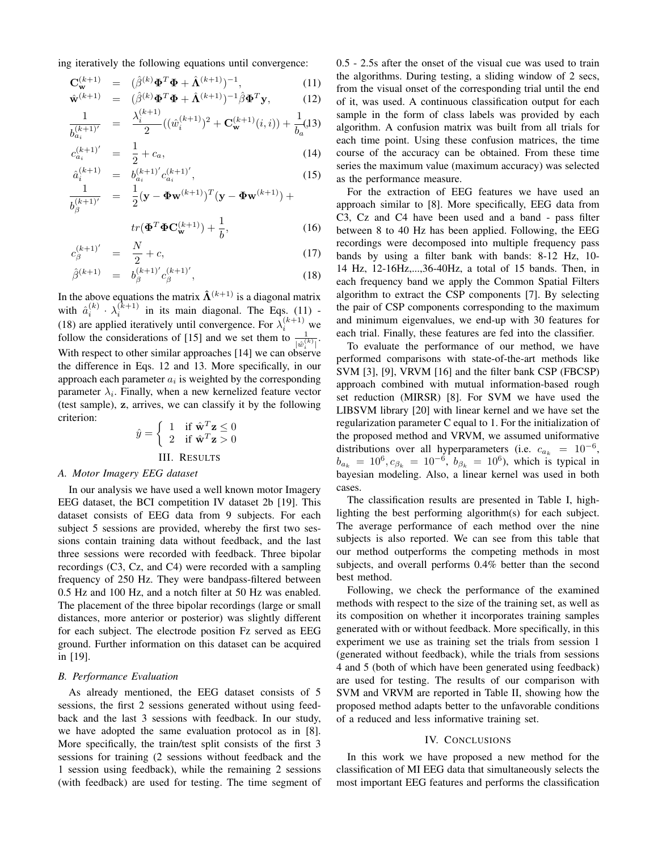ing iteratively the following equations until convergence:

$$
\mathbf{C}_{\mathbf{w}}^{(k+1)} = (\hat{\beta}^{(k)} \boldsymbol{\Phi}^T \boldsymbol{\Phi} + \hat{\mathbf{\Lambda}}^{(k+1)})^{-1},
$$
\n
$$
\hat{\mathbf{w}}^{(k+1)} = (\hat{\beta}^{(k)} \boldsymbol{\Phi}^T \boldsymbol{\Phi} + \hat{\mathbf{\Lambda}}^{(k+1)})^{-1} \hat{\beta} \boldsymbol{\Phi}^T \mathbf{y},
$$
\n(12)

$$
\hat{\mathbf{w}}^{(k+1)} = (\hat{\beta}^{(k)} \boldsymbol{\Phi}^T \boldsymbol{\Phi} + \hat{\mathbf{\Lambda}}^{(k+1)})^{-1} \hat{\beta} \boldsymbol{\Phi}^T \mathbf{y},\tag{12}
$$
\n
$$
1 \qquad \lambda_i^{(k+1)} \sum_{(\ell, \hat{\mathbf{w}}^{(k+1)})^2 + \mathbf{\Omega}^{(k+1)}(\ell, \hat{\mathbf{w}}^{(k+1)})} \mathbf{1}_{(1,2)}
$$

$$
\frac{1}{b_{a_i}^{(k+1)'} } = \frac{\lambda_i^{(k+1)}}{2} ((\hat{w}_i^{(k+1)})^2 + \mathbf{C}_{\mathbf{w}}^{(k+1)}(i,i)) + \frac{1}{b_a} (13)
$$

$$
c_{a_i}^{(k+1)'} = \frac{1}{2} + c_a, \tag{14}
$$

$$
\hat{a}_i^{(k+1)} = b_{a_i}^{(k+1)'} c_{a_i}^{(k+1)'},
$$
\n
$$
\hat{a}_i^{(k+1)} = \hat{a}_i^{(k+1)'} c_{a_i}^{(k+1)'} ,
$$
\n
$$
\hat{a}_i^{(k+1)} = \hat{a}_i^{(k+1)'} c_{a_i}^{(k+1)'} ,
$$
\n(15)

$$
\frac{1}{b_{\beta}^{(k+1)'}} = \frac{1}{2} (\mathbf{y} - \mathbf{\Phi} \mathbf{w}^{(k+1)})^T (\mathbf{y} - \mathbf{\Phi} \mathbf{w}^{(k+1)}) + \frac{1}{2} \mathbf{w}^{(k+1) + 1} (\mathbf{y} - \mathbf{\Phi} \mathbf{w}^{(k+1)})
$$

$$
tr(\mathbf{\Phi}^T \mathbf{\Phi} \mathbf{C}_{\mathbf{w}}^{(k+1)}) + \frac{1}{b},\tag{16}
$$

$$
c_{\beta}^{(k+1)'} = \frac{N}{2} + c,\tag{17}
$$

$$
\hat{\beta}^{(k+1)} = b_{\beta}^{(k+1)'} c_{\beta}^{(k+1)'}, \qquad (18)
$$

In the above equations the matrix  $\hat{\Lambda}^{(k+1)}$  is a diagonal matrix with  $\hat{a}_i^{(k)} \cdot \lambda_i^{(k+1)}$  in its main diagonal. The Eqs. (11) -(18) are applied iteratively until convergence. For  $\lambda_i^{(k+1)}$  we follow the considerations of [15] and we set them to  $\frac{1}{|\hat{w}_i^{(k)}|}$ . With respect to other similar approaches [14] we can observe the difference in Eqs. 12 and 13. More specifically, in our approach each parameter  $a_i$  is weighted by the corresponding parameter  $\lambda_i$ . Finally, when a new kernelized feature vector (test sample), z, arrives, we can classify it by the following criterion:  $\overline{0}$ 

$$
\hat{y} = \begin{cases} 1 & \text{if } \hat{\mathbf{w}}^T \mathbf{z} \le 0 \\ 2 & \text{if } \hat{\mathbf{w}}^T \mathbf{z} > 0 \end{cases}
$$
  
III. RESULTS

### *A. Motor Imagery EEG dataset*

In our analysis we have used a well known motor Imagery EEG dataset, the BCI competition IV dataset 2b [19]. This dataset consists of EEG data from 9 subjects. For each subject 5 sessions are provided, whereby the first two sessions contain training data without feedback, and the last three sessions were recorded with feedback. Three bipolar recordings (C3, Cz, and C4) were recorded with a sampling frequency of 250 Hz. They were bandpass-filtered between 0.5 Hz and 100 Hz, and a notch filter at 50 Hz was enabled. The placement of the three bipolar recordings (large or small distances, more anterior or posterior) was slightly different for each subject. The electrode position Fz served as EEG ground. Further information on this dataset can be acquired in [19].

#### *B. Performance Evaluation*

As already mentioned, the EEG dataset consists of 5 sessions, the first 2 sessions generated without using feedback and the last 3 sessions with feedback. In our study, we have adopted the same evaluation protocol as in [8]. More specifically, the train/test split consists of the first 3 sessions for training (2 sessions without feedback and the 1 session using feedback), while the remaining 2 sessions (with feedback) are used for testing. The time segment of 0.5 - 2.5s after the onset of the visual cue was used to train the algorithms. During testing, a sliding window of 2 secs, from the visual onset of the corresponding trial until the end of it, was used. A continuous classification output for each sample in the form of class labels was provided by each algorithm. A confusion matrix was built from all trials for each time point. Using these confusion matrices, the time course of the accuracy can be obtained. From these time series the maximum value (maximum accuracy) was selected as the performance measure.

For the extraction of EEG features we have used an approach similar to [8]. More specifically, EEG data from C3, Cz and C4 have been used and a band - pass filter between 8 to 40 Hz has been applied. Following, the EEG recordings were decomposed into multiple frequency pass bands by using a filter bank with bands: 8-12 Hz, 10- 14 Hz, 12-16Hz,...,36-40Hz, a total of 15 bands. Then, in each frequency band we apply the Common Spatial Filters algorithm to extract the CSP components [7]. By selecting the pair of CSP components corresponding to the maximum and minimum eigenvalues, we end-up with 30 features for each trial. Finally, these features are fed into the classifier.

To evaluate the performance of our method, we have performed comparisons with state-of-the-art methods like SVM [3], [9], VRVM [16] and the filter bank CSP (FBCSP) approach combined with mutual information-based rough set reduction (MIRSR) [8]. For SVM we have used the LIBSVM library [20] with linear kernel and we have set the regularization parameter C equal to 1. For the initialization of the proposed method and VRVM, we assumed uniformative distributions over all hyperparameters (i.e.  $c_{a_k} = 10^{-6}$ ,  $b_{a_k} = 10^6, c_{\beta_k} = 10^{-6}, b_{\beta_k} = 10^6$ ), which is typical in bayesian modeling. Also, a linear kernel was used in both cases.

The classification results are presented in Table I, highlighting the best performing algorithm(s) for each subject. The average performance of each method over the nine subjects is also reported. We can see from this table that our method outperforms the competing methods in most subjects, and overall performs 0.4% better than the second best method.

Following, we check the performance of the examined methods with respect to the size of the training set, as well as its composition on whether it incorporates training samples generated with or without feedback. More specifically, in this experiment we use as training set the trials from session 1 (generated without feedback), while the trials from sessions 4 and 5 (both of which have been generated using feedback) are used for testing. The results of our comparison with SVM and VRVM are reported in Table II, showing how the proposed method adapts better to the unfavorable conditions of a reduced and less informative training set.

#### IV. CONCLUSIONS

In this work we have proposed a new method for the classification of MI EEG data that simultaneously selects the most important EEG features and performs the classification